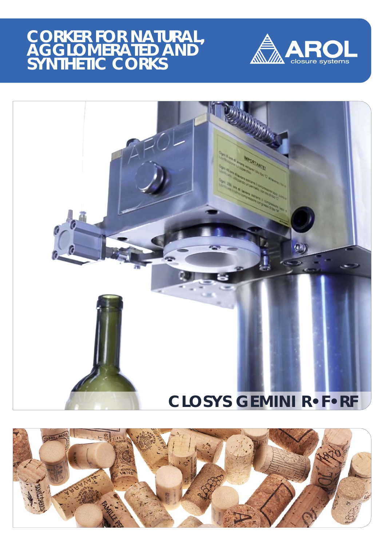## **CORKER FOR NATURAL, AGGLOMERATED AND SYNTHETIC CORKS**





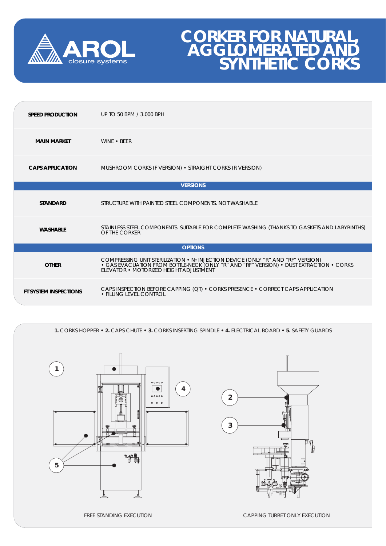

## **CORKER FOR NATURAL, AGGLOMERATED AND SYNTHETIC CORKS**

| <b>SPEED PRODUCTION</b>      | UP TO 50 BPM / 3.000 BPH                                                                                                                                                                                              |
|------------------------------|-----------------------------------------------------------------------------------------------------------------------------------------------------------------------------------------------------------------------|
| <b>MAIN MARKET</b>           | WINE • BEER                                                                                                                                                                                                           |
| <b>CAPS APPLICATION</b>      | MUSHROOM CORKS (F VERSION) • STRAIGHT CORKS (R VERSION)                                                                                                                                                               |
| <b>VERSIONS</b>              |                                                                                                                                                                                                                       |
| <b>STANDARD</b>              | STRUCTURE WITH PAINTED STEEL COMPONENTS. NOT WASHABLE                                                                                                                                                                 |
| <b>WASHABLE</b>              | STAINLESS STEEL COMPONENTS. SUITABLE FOR COMPLETE WASHING (THANKS TO GASKETS AND LABYRINTHS)<br>OF THE CORKER                                                                                                         |
| <b>OPTIONS</b>               |                                                                                                                                                                                                                       |
| <b>OTHER</b>                 | COMPRESSING UNIT STERILIZATION • N2 INJECTION DEVICE (ONLY "R" AND "RF" VERSION)<br>• GAS EVACUATION FROM BOTTLE-NECK (ONLY "R" AND "RF" VERSION) • DUST EXTRACTION • CORKS<br>ELEVATOR • MOTORIZED HEIGHT ADJUSTMENT |
| <b>FT SYSTEM INSPECTIONS</b> | CAPS INSPECTION BEFORE CAPPING (QT) • CORKS PRESENCE • CORRECT CAPS APPLICATION<br>• FILLING LEVEL CONTROL                                                                                                            |

**1.** CORKS HOPPER **• 2.** CAPS CHUTE **• 3.** CORKS INSERTING SPINDLE **• 4.** ELECTRICAL BOARD **• 5.** SAFETY GUARDS





FREE STANDING EXECUTION **CAPPING TURRET ONLY EXECUTION**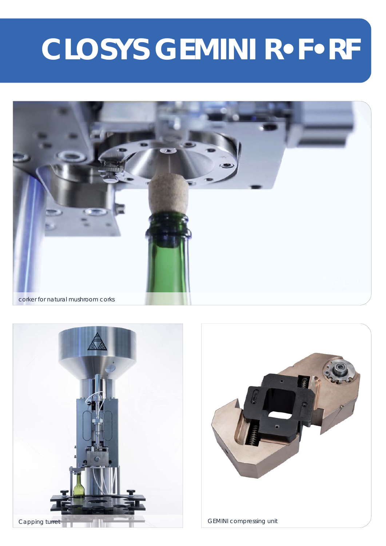# **CLOSYS GEMINI R•F•RF**